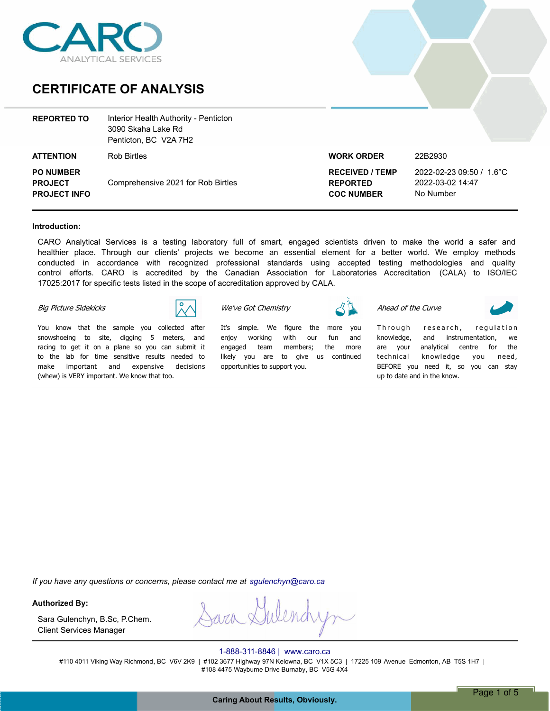

## **CERTIFICATE OF ANALYSIS**

| <b>REPORTED TO</b>                                        | Interior Health Authority - Penticton<br>3090 Skaha Lake Rd<br>Penticton, BC V2A 7H2 |                                                                |                                                           |
|-----------------------------------------------------------|--------------------------------------------------------------------------------------|----------------------------------------------------------------|-----------------------------------------------------------|
| <b>ATTENTION</b>                                          | <b>Rob Birtles</b>                                                                   | <b>WORK ORDER</b>                                              | 22B2930                                                   |
| <b>PO NUMBER</b><br><b>PROJECT</b><br><b>PROJECT INFO</b> | Comprehensive 2021 for Rob Birtles                                                   | <b>RECEIVED / TEMP</b><br><b>REPORTED</b><br><b>COC NUMBER</b> | 2022-02-23 09:50 / 1.6°C<br>2022-03-02 14:47<br>No Number |

#### **Introduction:**

CARO Analytical Services is a testing laboratory full of smart, engaged scientists driven to make the world a safer and healthier place. Through our clients' projects we become an essential element for a better world. We employ methods conducted in accordance with recognized professional standards using accepted testing methodologies and quality control efforts. CARO is accredited by the Canadian Association for Laboratories Accreditation (CALA) to ISO/IEC 17025:2017 for specific tests listed in the scope of accreditation approved by CALA.

#### *Big Picture Sidekicks*



*You know that the sample you collected after snowshoeing to site, digging 5 meters, and racing to get it on a plane so you can submit it to the lab for time sensitive results needed to make important and expensive decisions (whew) is VERY important. We know that too.*

*We've Got Chemistry*

*Itís simple. We figure the more you enjoy working with our fun and engaged team members; the more likely you are to give us continued opportunities to support you.*

*Ahead of the Curve*



Through research, regulation *knowledge, and instrumentation, we are your analytical centre for the technical knowledge you need, BEFORE you need it, so you can stay up to date and in the know.*

*If you have any questions or concerns, please contact me at sgulenchyn@caro.ca*

#### **Authorized By:**

Client Services Manager Sara Gulenchyn, B.Sc, P.Chem.

rarch 9

#### 1-888-311-8846 | www.caro.ca

#110 4011 Viking Way Richmond, BC V6V 2K9 | #102 3677 Highway 97N Kelowna, BC V1X 5C3 | 17225 109 Avenue Edmonton, AB T5S 1H7 | #108 4475 Wayburne Drive Burnaby, BC V5G 4X4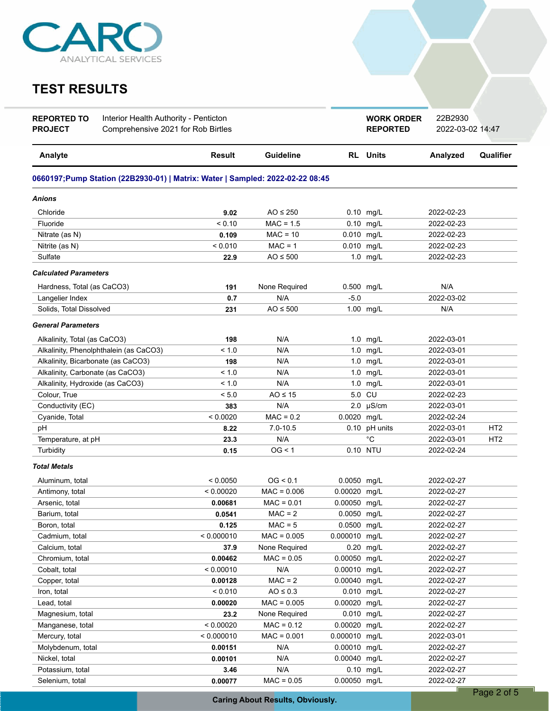

# **TEST RESULTS**

| <b>REPORTED TO</b><br>Interior Health Authority - Penticton<br>Comprehensive 2021 for Rob Birtles<br><b>PROJECT</b> |                                                                               |               |                  | <b>WORK ORDER</b><br><b>REPORTED</b> | 22B2930<br>2022-03-02 14:47 |            |                 |
|---------------------------------------------------------------------------------------------------------------------|-------------------------------------------------------------------------------|---------------|------------------|--------------------------------------|-----------------------------|------------|-----------------|
| Analyte                                                                                                             |                                                                               | <b>Result</b> | <b>Guideline</b> |                                      | <b>RL</b> Units             | Analyzed   | Qualifier       |
|                                                                                                                     | 0660197;Pump Station (22B2930-01)   Matrix: Water   Sampled: 2022-02-22 08:45 |               |                  |                                      |                             |            |                 |
| Anions                                                                                                              |                                                                               |               |                  |                                      |                             |            |                 |
| Chloride                                                                                                            |                                                                               | 9.02          | AO $\leq$ 250    |                                      | $0.10$ mg/L                 | 2022-02-23 |                 |
| Fluoride                                                                                                            |                                                                               | < 0.10        | $MAC = 1.5$      |                                      | 0.10 mg/L                   | 2022-02-23 |                 |
| Nitrate (as N)                                                                                                      |                                                                               | 0.109         | $MAC = 10$       | 0.010 mg/L                           |                             | 2022-02-23 |                 |
| Nitrite (as N)                                                                                                      |                                                                               | < 0.010       | $MAC = 1$        | 0.010 mg/L                           |                             | 2022-02-23 |                 |
| Sulfate                                                                                                             |                                                                               | 22.9          | $AO \leq 500$    |                                      | 1.0 mg/L                    | 2022-02-23 |                 |
| <b>Calculated Parameters</b>                                                                                        |                                                                               |               |                  |                                      |                             |            |                 |
| Hardness, Total (as CaCO3)                                                                                          |                                                                               | 191           | None Required    | 0.500 mg/L                           |                             | N/A        |                 |
| Langelier Index                                                                                                     |                                                                               | 0.7           | N/A              | $-5.0$                               |                             | 2022-03-02 |                 |
| Solids, Total Dissolved                                                                                             |                                                                               | 231           | $AO \leq 500$    |                                      | 1.00 mg/L                   | N/A        |                 |
| <b>General Parameters</b>                                                                                           |                                                                               |               |                  |                                      |                             |            |                 |
| Alkalinity, Total (as CaCO3)                                                                                        |                                                                               | 198           | N/A              |                                      | 1.0 mg/L                    | 2022-03-01 |                 |
| Alkalinity, Phenolphthalein (as CaCO3)                                                                              |                                                                               | < 1.0         | N/A              |                                      | 1.0 mg/L                    | 2022-03-01 |                 |
| Alkalinity, Bicarbonate (as CaCO3)                                                                                  |                                                                               | 198           | N/A              |                                      | 1.0 mg/L                    | 2022-03-01 |                 |
| Alkalinity, Carbonate (as CaCO3)                                                                                    |                                                                               | < 1.0         | N/A              |                                      | 1.0 mg/L                    | 2022-03-01 |                 |
| Alkalinity, Hydroxide (as CaCO3)                                                                                    |                                                                               | < 1.0         | N/A              | 1.0                                  | mg/L                        | 2022-03-01 |                 |
| Colour, True                                                                                                        |                                                                               | < 5.0         | $AO \leq 15$     |                                      | 5.0 CU                      | 2022-02-23 |                 |
| Conductivity (EC)                                                                                                   |                                                                               | 383           | N/A              |                                      | $2.0$ µS/cm                 | 2022-03-01 |                 |
| Cyanide, Total                                                                                                      |                                                                               | < 0.0020      | $MAC = 0.2$      | 0.0020 mg/L                          |                             | 2022-02-24 |                 |
| pH                                                                                                                  |                                                                               | 8.22          | $7.0 - 10.5$     |                                      | 0.10 pH units               | 2022-03-01 | HT <sub>2</sub> |
| Temperature, at pH                                                                                                  |                                                                               | 23.3          | N/A              |                                      | °C                          | 2022-03-01 | HT <sub>2</sub> |
| Turbidity                                                                                                           |                                                                               | 0.15          | OG < 1           |                                      | 0.10 NTU                    | 2022-02-24 |                 |
| <b>Total Metals</b>                                                                                                 |                                                                               |               |                  |                                      |                             |            |                 |
| Aluminum, total                                                                                                     |                                                                               | < 0.0050      | OG < 0.1         | 0.0050 mg/L                          |                             | 2022-02-27 |                 |
| Antimony, total                                                                                                     |                                                                               | < 0.00020     | $MAC = 0.006$    | 0.00020 mg/L                         |                             | 2022-02-27 |                 |
| Arsenic, total                                                                                                      |                                                                               | 0.00681       | $MAC = 0.01$     | 0.00050 mg/L                         |                             | 2022-02-27 |                 |
| Barium, total                                                                                                       |                                                                               | 0.0541        | $MAC = 2$        | 0.0050 mg/L                          |                             | 2022-02-27 |                 |
| Boron, total                                                                                                        |                                                                               | 0.125         | $MAC = 5$        | 0.0500 mg/L                          |                             | 2022-02-27 |                 |
| Cadmium, total                                                                                                      |                                                                               | < 0.000010    | $MAC = 0.005$    | 0.000010 mg/L                        |                             | 2022-02-27 |                 |
| Calcium, total<br>37.9                                                                                              |                                                                               |               | None Required    |                                      | 0.20 mg/L                   | 2022-02-27 |                 |
| Chromium, total<br>0.00462                                                                                          |                                                                               |               | $MAC = 0.05$     | 0.00050 mg/L                         |                             | 2022-02-27 |                 |
| < 0.00010<br>Cobalt, total                                                                                          |                                                                               | N/A           | 0.00010 mg/L     |                                      | 2022-02-27                  |            |                 |
| Copper, total<br>0.00128                                                                                            |                                                                               | $MAC = 2$     | 0.00040 mg/L     |                                      | 2022-02-27                  |            |                 |
| < 0.010<br>Iron, total                                                                                              |                                                                               | $AO \leq 0.3$ | 0.010 mg/L       |                                      | 2022-02-27                  |            |                 |
| 0.00020<br>Lead, total                                                                                              |                                                                               | $MAC = 0.005$ | 0.00020 mg/L     |                                      | 2022-02-27                  |            |                 |
| Magnesium, total<br>23.2                                                                                            |                                                                               | None Required | 0.010 mg/L       |                                      | 2022-02-27                  |            |                 |
| < 0.00020<br>Manganese, total                                                                                       |                                                                               | $MAC = 0.12$  | 0.00020 mg/L     |                                      | 2022-02-27                  |            |                 |
| < 0.000010<br>Mercury, total                                                                                        |                                                                               | $MAC = 0.001$ | 0.000010 mg/L    |                                      | 2022-03-01                  |            |                 |
| Molybdenum, total<br>0.00151                                                                                        |                                                                               | N/A           | 0.00010 mg/L     |                                      | 2022-02-27                  |            |                 |
| Nickel, total<br>0.00101                                                                                            |                                                                               |               | N/A              | 0.00040 mg/L                         |                             | 2022-02-27 |                 |
| Potassium, total                                                                                                    |                                                                               | 3.46          | N/A              |                                      | 0.10 mg/L                   | 2022-02-27 |                 |
| Selenium, total<br>0.00077                                                                                          |                                                                               | $MAC = 0.05$  | 0.00050 mg/L     |                                      | 2022-02-27                  |            |                 |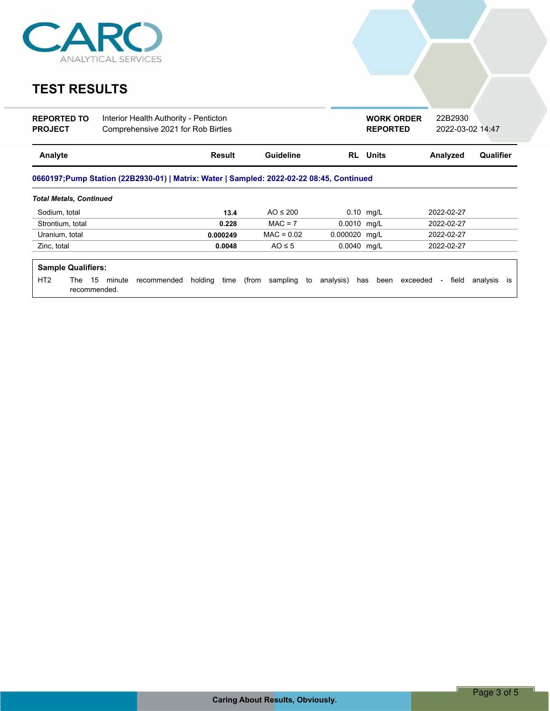

# **TEST RESULTS**

| <b>REPORTED TO</b><br><b>PROJECT</b>         | Interior Health Authority - Penticton<br>Comprehensive 2021 for Rob Birtles              |                 |                         |               | <b>WORK ORDER</b><br><b>REPORTED</b> | 22B2930<br>2022-03-02 14:47 |                |
|----------------------------------------------|------------------------------------------------------------------------------------------|-----------------|-------------------------|---------------|--------------------------------------|-----------------------------|----------------|
| Analyte                                      |                                                                                          | Result          | <b>Guideline</b>        |               | <b>RL</b> Units                      | Analyzed                    | Qualifier      |
|                                              | 0660197;Pump Station (22B2930-01)   Matrix: Water   Sampled: 2022-02-22 08:45, Continued |                 |                         |               |                                      |                             |                |
| <b>Total Metals, Continued</b>               |                                                                                          |                 |                         |               |                                      |                             |                |
| Sodium, total                                |                                                                                          | 13.4            | AO $\leq$ 200           |               | $0.10$ mg/L                          | 2022-02-27                  |                |
| Strontium, total                             |                                                                                          | 0.228           | $MAC = 7$               | 0.0010 mg/L   |                                      | 2022-02-27                  |                |
| Uranium, total                               |                                                                                          | 0.000249        | $MAC = 0.02$            | 0.000020 mg/L |                                      | 2022-02-27                  |                |
| Zinc, total                                  |                                                                                          | 0.0048          | $AO \leq 5$             | $0.0040$ mg/L |                                      | 2022-02-27                  |                |
| <b>Sample Qualifiers:</b>                    |                                                                                          |                 |                         |               |                                      |                             |                |
| HT <sub>2</sub><br>15<br>The<br>recommended. | minute<br>recommended                                                                    | holding<br>time | (from<br>sampling<br>to | analysis)     | has<br>been exceeded                 | field<br>$\sim$             | analysis<br>is |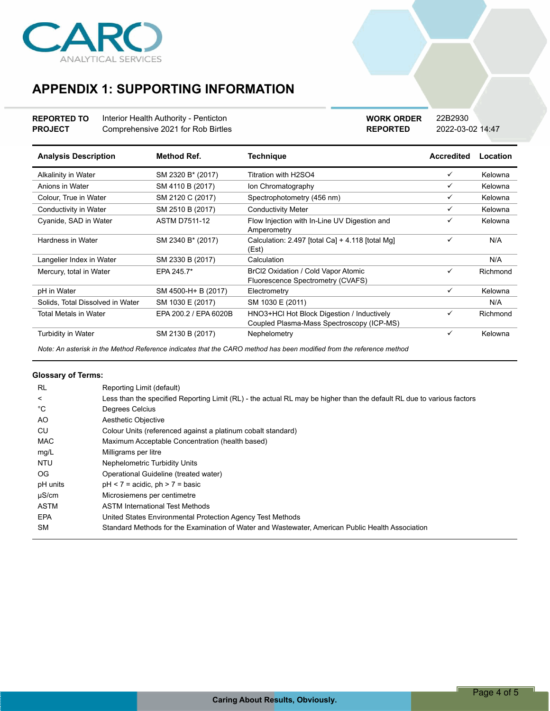

## **APPENDIX 1: SUPPORTING INFORMATION**

**REPORTED TO** Interior Health Authority - Penticton **PROJECT** Comprehensive 2021 for Rob Birtles **REPORTED** 2022-03-02 14:47 **WORK ORDER** 22B2930

| <b>Analysis Description</b>      | <b>Method Ref.</b>    | <b>Technique</b>                                                                        | <b>Accredited</b> | Location |
|----------------------------------|-----------------------|-----------------------------------------------------------------------------------------|-------------------|----------|
| Alkalinity in Water              | SM 2320 B* (2017)     | Titration with H2SO4                                                                    | ✓                 | Kelowna  |
| Anions in Water                  | SM 4110 B (2017)      | Ion Chromatography                                                                      | ✓                 | Kelowna  |
| Colour, True in Water            | SM 2120 C (2017)      | Spectrophotometry (456 nm)                                                              | ✓                 | Kelowna  |
| Conductivity in Water            | SM 2510 B (2017)      | <b>Conductivity Meter</b>                                                               | ✓                 | Kelowna  |
| Cyanide, SAD in Water            | <b>ASTM D7511-12</b>  | Flow Injection with In-Line UV Digestion and<br>Amperometry                             | ✓                 | Kelowna  |
| Hardness in Water                | SM 2340 B* (2017)     | Calculation: 2.497 [total Ca] + 4.118 [total Mg]<br>(Est)                               | ✓                 | N/A      |
| Langelier Index in Water         | SM 2330 B (2017)      | Calculation                                                                             |                   | N/A      |
| Mercury, total in Water          | EPA 245.7*            | BrCl2 Oxidation / Cold Vapor Atomic<br>Fluorescence Spectrometry (CVAFS)                | ✓                 | Richmond |
| pH in Water                      | SM 4500-H+ B (2017)   | Electrometry                                                                            | ✓                 | Kelowna  |
| Solids, Total Dissolved in Water | SM 1030 E (2017)      | SM 1030 E (2011)                                                                        |                   | N/A      |
| <b>Total Metals in Water</b>     | EPA 200.2 / EPA 6020B | HNO3+HCl Hot Block Digestion / Inductively<br>Coupled Plasma-Mass Spectroscopy (ICP-MS) | ✓                 | Richmond |
| Turbidity in Water               | SM 2130 B (2017)      | Nephelometry                                                                            | ✓                 | Kelowna  |

*Note: An asterisk in the Method Reference indicates that the CARO method has been modified from the reference method*

### **Glossary of Terms:**

| <b>RL</b>   | Reporting Limit (default)                                                                                             |
|-------------|-----------------------------------------------------------------------------------------------------------------------|
| $\,<\,$     | Less than the specified Reporting Limit (RL) - the actual RL may be higher than the default RL due to various factors |
| °C          | Degrees Celcius                                                                                                       |
| AO.         | Aesthetic Objective                                                                                                   |
| CU          | Colour Units (referenced against a platinum cobalt standard)                                                          |
| <b>MAC</b>  | Maximum Acceptable Concentration (health based)                                                                       |
| mg/L        | Milligrams per litre                                                                                                  |
| <b>NTU</b>  | <b>Nephelometric Turbidity Units</b>                                                                                  |
| OG.         | Operational Guideline (treated water)                                                                                 |
| pH units    | $pH < 7$ = acidic, $ph > 7$ = basic                                                                                   |
| $\mu$ S/cm  | Microsiemens per centimetre                                                                                           |
| <b>ASTM</b> | <b>ASTM International Test Methods</b>                                                                                |
| <b>EPA</b>  | United States Environmental Protection Agency Test Methods                                                            |
| <b>SM</b>   | Standard Methods for the Examination of Water and Wastewater. American Public Health Association                      |